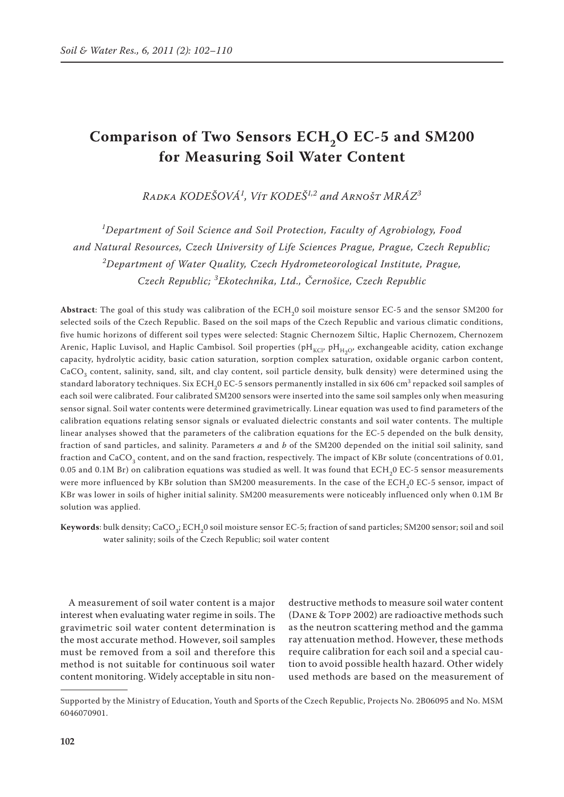# Comparison of Two Sensors ECH<sub>2</sub>O EC-5 and SM200 **for Measuring Soil Water Content**

*Radka Kodešová<sup>1</sup> , Vít Kodeš1,2 and Arnošt Mráz<sup>3</sup>*

*1 Department of Soil Science and Soil Protection, Faculty of Agrobiology, Food and Natural Resources, Czech University of Life Sciences Prague, Prague, Czech Republic; 2 Department of Water Quality, Czech Hydrometeorological Institute, Prague, Czech Republic; <sup>3</sup> Ekotechnika, Ltd., Černošice, Czech Republic* 

Abstract: The goal of this study was calibration of the ECH<sub>2</sub>0 soil moisture sensor EC-5 and the sensor SM200 for selected soils of the Czech Republic. Based on the soil maps of the Czech Republic and various climatic conditions, five humic horizons of different soil types were selected: Stagnic Chernozem Siltic, Haplic Chernozem, Chernozem Arenic, Haplic Luvisol, and Haplic Cambisol. Soil properties (pH<sub>KCl</sub>, pH<sub>H<sub>O</sub>, exchangeable acidity, cation exchange</sub> capacity, hydrolytic acidity, basic cation saturation, sorption complex saturation, oxidable organic carbon content, CaCO<sub>3</sub> content, salinity, sand, silt, and clay content, soil particle density, bulk density) were determined using the standard laboratory techniques. Six ECH<sub>2</sub>0 EC-5 sensors permanently installed in six 606 cm<sup>3</sup> repacked soil samples of each soil were calibrated. Four calibrated SM200 sensors were inserted into the same soil samples only when measuring sensor signal. Soil water contents were determined gravimetrically. Linear equation was used to find parameters of the calibration equations relating sensor signals or evaluated dielectric constants and soil water contents. The multiple linear analyses showed that the parameters of the calibration equations for the EC-5 depended on the bulk density, fraction of sand particles, and salinity. Parameters *a* and *b* of the SM200 depended on the initial soil salinity, sand fraction and  $CaCO<sub>3</sub>$  content, and on the sand fraction, respectively. The impact of KBr solute (concentrations of 0.01, 0.05 and 0.1M Br) on calibration equations was studied as well. It was found that ECH<sub>2</sub>0 EC-5 sensor measurements were more influenced by KBr solution than SM200 measurements. In the case of the ECH<sub>2</sub>0 EC-5 sensor, impact of KBr was lower in soils of higher initial salinity. SM200 measurements were noticeably influenced only when 0.1M Br solution was applied.

Keywords: bulk density; CaCO<sub>3</sub>; ECH<sub>2</sub>0 soil moisture sensor EC-5; fraction of sand particles; SM200 sensor; soil and soil water salinity; soils of the Czech Republic; soil water content

A measurement of soil water content is a major interest when evaluating water regime in soils. The gravimetric soil water content determination is the most accurate method. However, soil samples must be removed from a soil and therefore this method is not suitable for continuous soil water content monitoring. Widely acceptable in situ nondestructive methods to measure soil water content (Dane & Topp 2002) are radioactive methods such as the neutron scattering method and the gamma ray attenuation method. However, these methods require calibration for each soil and a special caution to avoid possible health hazard. Other widely used methods are based on the measurement of

Supported by the Ministry of Education, Youth and Sports of the Czech Republic, Projects No. 2B06095 and No. MSM 6046070901.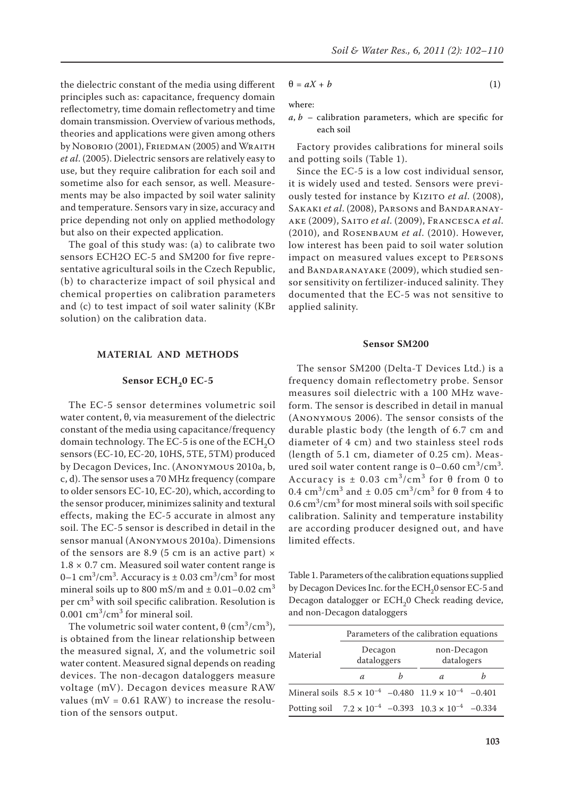the dielectric constant of the media using different principles such as: capacitance, frequency domain reflectometry, time domain reflectometry and time domain transmission. Overview of various methods, theories and applications were given among others by NOBORIO (2001), FRIEDMAN (2005) and WRAITH *et al*. (2005). Dielectric sensors are relatively easy to use, but they require calibration for each soil and sometime also for each sensor, as well. Measurements may be also impacted by soil water salinity and temperature. Sensors vary in size, accuracy and price depending not only on applied methodology but also on their expected application.

The goal of this study was: (a) to calibrate two sensors ECH2O EC-5 and SM200 for five representative agricultural soils in the Czech Republic, (b) to characterize impact of soil physical and chemical properties on calibration parameters and (c) to test impact of soil water salinity (KBr solution) on the calibration data.

### **MATERIAL AND METHODS**

## Sensor ECH<sub>2</sub>0 EC-5

The EC-5 sensor determines volumetric soil water content, θ, via measurement of the dielectric constant of the media using capacitance/frequency domain technology. The EC-5 is one of the ECH<sub>2</sub>O sensors (EC-10, EC-20, 10HS, 5TE, 5TM) produced by Decagon Devices, Inc. (Anonymous 2010a, b, c, d). The sensor uses a 70 MHz frequency (compare to older sensors EC-10, EC-20), which, according to the sensor producer, minimizes salinity and textural effects, making the EC-5 accurate in almost any soil. The EC-5 sensor is described in detail in the sensor manual (Anonymous 2010a). Dimensions of the sensors are 8.9 (5 cm is an active part)  $\times$  $1.8 \times 0.7$  cm. Measured soil water content range is 0–1 cm<sup>3</sup>/cm<sup>3</sup>. Accuracy is  $\pm$  0.03 cm<sup>3</sup>/cm<sup>3</sup> for most mineral soils up to 800 mS/m and  $\pm$  0.01–0.02 cm<sup>3</sup> per cm<sup>3</sup> with soil specific calibration. Resolution is  $0.001 \text{ cm}^3/\text{cm}^3$  for mineral soil.

The volumetric soil water content,  $\theta$  (cm<sup>3</sup>/cm<sup>3</sup>), is obtained from the linear relationship between the measured signal, *X*, and the volumetric soil water content. Measured signal depends on reading devices. The non-decagon dataloggers measure voltage (mV). Decagon devices measure RAW values ( $mV = 0.61$  RAW) to increase the resolution of the sensors output.

$$
\theta = aX + b \tag{1}
$$

where:

 $a, b$  – calibration parameters, which are specific for each soil

Factory provides calibrations for mineral soils and potting soils (Table 1).

Since the EC-5 is a low cost individual sensor, it is widely used and tested. Sensors were previously tested for instance by KIZITO *et al.* (2008), Sakaki *et al*. (2008), Parsons and Bandaranayake (2009), Saito *et al*. (2009), Francesca *et al*. (2010), and Rosenbaum *et al*. (2010). However, low interest has been paid to soil water solution impact on measured values except to Persons and BANDARANAYAKE (2009), which studied sensor sensitivity on fertilizer-induced salinity. They documented that the EC-5 was not sensitive to applied salinity.

#### **Sensor SM200**

The sensor SM200 (Delta-T Devices Ltd.) is a frequency domain reflectometry probe. Sensor measures soil dielectric with a 100 MHz waveform. The sensor is described in detail in manual (Anonymous 2006). The sensor consists of the durable plastic body (the length of 6.7 cm and diameter of 4 cm) and two stainless steel rods (length of 5.1 cm, diameter of 0.25 cm). Measured soil water content range is  $0-0.60 \text{ cm}^3/\text{cm}^3$ . Accuracy is  $\pm$  0.03 cm<sup>3</sup>/cm<sup>3</sup> for  $\theta$  from 0 to  $0.4 \text{ cm}^3/\text{cm}^3$  and  $\pm 0.05 \text{ cm}^3/\text{cm}^3$  for θ from 4 to  $0.6 \text{ cm}^3/\text{cm}^3$  for most mineral soils with soil specific calibration. Salinity and temperature instability are according producer designed out, and have limited effects.

Table 1. Parameters of the calibration equations supplied by Decagon Devices Inc. for the ECH<sub>2</sub>0 sensor EC-5 and Decagon datalogger or ECH<sub>2</sub>0 Check reading device, and non-Decagon dataloggers

|                                                                        |                        | Parameters of the calibration equations |  |
|------------------------------------------------------------------------|------------------------|-----------------------------------------|--|
| Material                                                               | Decagon<br>dataloggers | non-Decagon<br>datalogers               |  |
|                                                                        | a                      | a                                       |  |
| Mineral soils $8.5 \times 10^{-4}$ -0.480 $11.9 \times 10^{-4}$ -0.401 |                        |                                         |  |
| Potting soil $7.2 \times 10^{-4}$ -0.393 $10.3 \times 10^{-4}$ -0.334  |                        |                                         |  |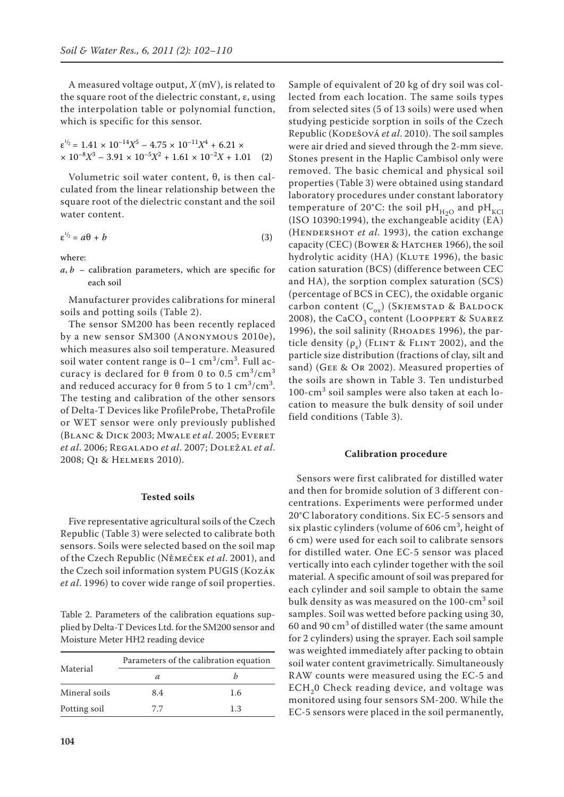A measured voltage output, *X* (mV), is related to the square root of the dielectric constant, ε, using the interpolation table or polynomial function, which is specific for this sensor.

$$
\varepsilon^{1/2} = 1.41 \times 10^{-14} X^5 - 4.75 \times 10^{-11} X^4 + 6.21 \times
$$
  
× 10<sup>-8</sup>X<sup>3</sup> - 3.91 × 10<sup>-5</sup>X<sup>2</sup> + 1.61 × 10<sup>-2</sup>X + 1.01 (2)

Volumetric soil water content, θ, is then calculated from the linear relationship between the square root of the dielectric constant and the soil water content.

$$
\varepsilon^{1/2} = a\theta + b \tag{3}
$$

where:

*a*, *b* – calibration parameters, which are specific for each soil

Manufacturer provides calibrations for mineral soils and potting soils (Table 2).

The sensor SM200 has been recently replaced by a new sensor SM300 (Anonymous 2010e), which measures also soil temperature. Measured soil water content range is 0–1 cm<sup>3</sup>/cm<sup>3</sup>. Full accuracy is declared for  $θ$  from 0 to 0.5 cm<sup>3</sup>/cm<sup>3</sup> and reduced accuracy for θ from 5 to 1 cm<sup>3</sup>/cm<sup>3</sup>. The testing and calibration of the other sensors of Delta-T Devices like ProfileProbe, ThetaProfile or WET sensor were only previously published (Blanc & Dick 2003; Mwale *et al*. 2005; Everet *et al*. 2006; Regalado *et al*. 2007; Doležal *et al*. 2008; Qi & Helmers 2010).

## **Tested soils**

Five representative agricultural soils of the Czech Republic (Table 3) were selected to calibrate both sensors. Soils were selected based on the soil map of the Czech Republic (Němeček *et al*. 2001), and the Czech soil information system PUGIS (Kozák *et al*. 1996) to cover wide range of soil properties.

Table 2. Parameters of the calibration equations supplied by Delta-T Devices Ltd. for the SM200 sensor and Moisture Meter HH2 reading device

|               |     | Parameters of the calibration equation |
|---------------|-----|----------------------------------------|
| Material      | а   |                                        |
| Mineral soils | 8.4 | 1.6                                    |
| Potting soil  | 7.7 | 1.3                                    |

Sample of equivalent of 20 kg of dry soil was collected from each location. The same soils types from selected sites (5 of 13 soils) were used when studying pesticide sorption in soils of the Czech Republic (KODEŠOVÁ et al. 2010). The soil samples were air dried and sieved through the 2-mm sieve. Stones present in the Haplic Cambisol only were removed. The basic chemical and physical soil properties (Table 3) were obtained using standard laboratory procedures under constant laboratory temperature of 20°C: the soil pH<sub>H2O</sub> and pH<sub>KCl</sub> (ISO 10390:1994), the exchangeable acidity (EA) (Hendershot *et al*. 1993), the cation exchange capacity (CEC) (BOWER & HATCHER 1966), the soil hydrolytic acidity (HA) (KLUTE 1996), the basic cation saturation (BCS) (difference between CEC and HA), the sorption complex saturation (SCS) (percentage of BCS in CEC), the oxidable organic carbon content  $(C_{\alpha})$  (Skjemstad & Baldock 2008), the CaCO<sub>3</sub> content (LOOPPERT & SUAREZ 1996), the soil salinity (Rнолрев 1996), the particle density  $(\rho_s)$  (FLINT & FLINT 2002), and the particle size distribution (fractions of clay, silt and sand) (Gee & Or 2002). Measured properties of the soils are shown in Table 3. Ten undisturbed 100-cm<sup>3</sup> soil samples were also taken at each location to measure the bulk density of soil under field conditions (Table 3).

#### **Calibration procedure**

Sensors were first calibrated for distilled water and then for bromide solution of 3 different concentrations. Experiments were performed under 20°C laboratory conditions. Six EC-5 sensors and six plastic cylinders (volume of  $606 \text{ cm}^3$ , height of 6 cm) were used for each soil to calibrate sensors for distilled water. One EC-5 sensor was placed vertically into each cylinder together with the soil material. A specific amount of soil was prepared for each cylinder and soil sample to obtain the same bulk density as was measured on the  $100$ -cm $^3$  soil samples. Soil was wetted before packing using 30, 60 and 90  $\mathrm{cm}^3$  of distilled water (the same amount for 2 cylinders) using the sprayer. Each soil sample was weighted immediately after packing to obtain soil water content gravimetrically. Simultaneously RAW counts were measured using the EC-5 and ECH<sub>2</sub>0 Check reading device, and voltage was monitored using four sensors SM-200. While the EC-5 sensors were placed in the soil permanently,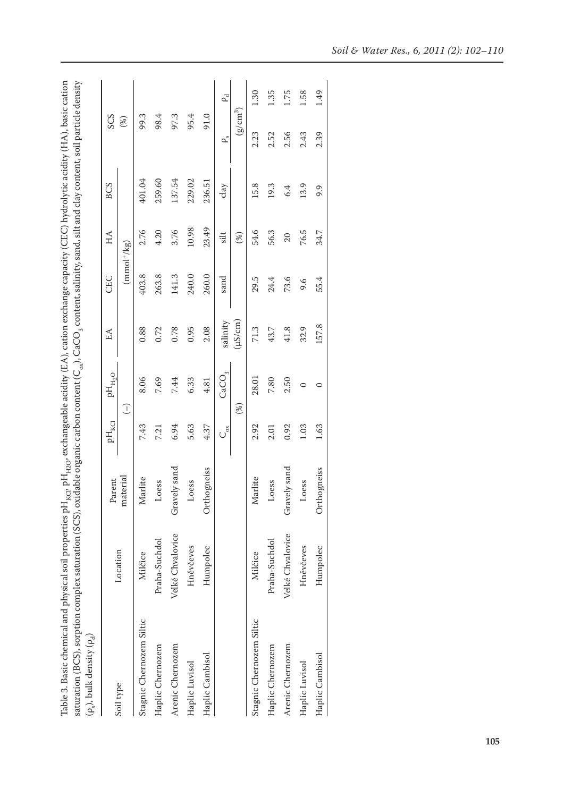| $(\rho_s)$ , bulk density $(\rho_d)$ |                  | Parent       | $\mathsf{pH}_{\mathsf{KCl}}$ | $\mathrm{pH}_{\mathrm{H}_2\mathrm{O}}$ | EA           | CEC           | HA    | <b>BCS</b> | SCS        |                |
|--------------------------------------|------------------|--------------|------------------------------|----------------------------------------|--------------|---------------|-------|------------|------------|----------------|
| Soil type                            | Location         | material     |                              | $\bigcirc$                             |              | $(mmol^+/kg)$ |       |            | (%)        |                |
| Stagnic Chernozem Siltic             | Milčice          | Marlite      | 7.43                         | 8.06                                   | 0.88         | 403.8         | 2.76  | 401.04     | 99.3       |                |
| Haplic Chernozem                     | Praha-Suchdol    | Loess        | 7.21                         | 7.69                                   | 0.72         | 263.8         | 4.20  | 259.60     | 98.4       |                |
| Arenic Chernozem                     | Velké Chvalovice | Gravely sand | 6.94                         | 7.44                                   | 0.78         | 141.3         | 3.76  | 137.54     | 97.3       |                |
| Haplic Luvisol                       | Hnévčeves        | Loess        | 5.63                         | 6.33                                   | 0.95         | 240.0         | 10.98 | 229.02     | 95.4       |                |
| Haplic Cambisol                      | Humpolec         | Orthogneiss  | 4.37                         | 4.81                                   | 2.08         | 260.0         | 23.49 | 236.51     | 91.0       |                |
|                                      |                  |              | $C_{\alpha}^{\alpha}$        | $\rm CaCO_3$                           | salinity     | sand          | silt  | clay       | Q"         | P <sub>d</sub> |
|                                      |                  |              |                              | (%)                                    | $(\mu S/cm)$ |               | (%)   |            | $(g/cm^3)$ |                |
| Stagnic Chernozem Siltic             | Milčice          | Marlite      | 2.92                         | 28.01                                  | 71.3         | 29.5          | 54.6  | 15.8       | 2.23       | 1.30           |
| Haplic Chernozem                     | Praha-Suchdol    | Loess        | 2.01                         | 7.80                                   | 43.7         | 24.4          | 56.3  | 19.3       | 2.52       | 1.35           |
| Arenic Chernozem                     | Velké Chvalovice | Gravely sand | 0.92                         | 2.50                                   | 41.8         | 73.6          | 20    | 6.4        | 2.56       | 1.75           |
| Haplic Luvisol                       | Hnévčeves        | Loess        | 1.03                         | 0                                      | 32.9         | 9.6           | 76.5  | 13.9       | 2.43       | 1.58           |
| Haplic Cambisol                      | Humpolec         | Orthogneiss  | 1.63                         |                                        | 157.8        | 55.4          | 34.7  | 9.9        | 2.39       | 1.49           |
|                                      |                  |              |                              |                                        |              |               |       |            |            |                |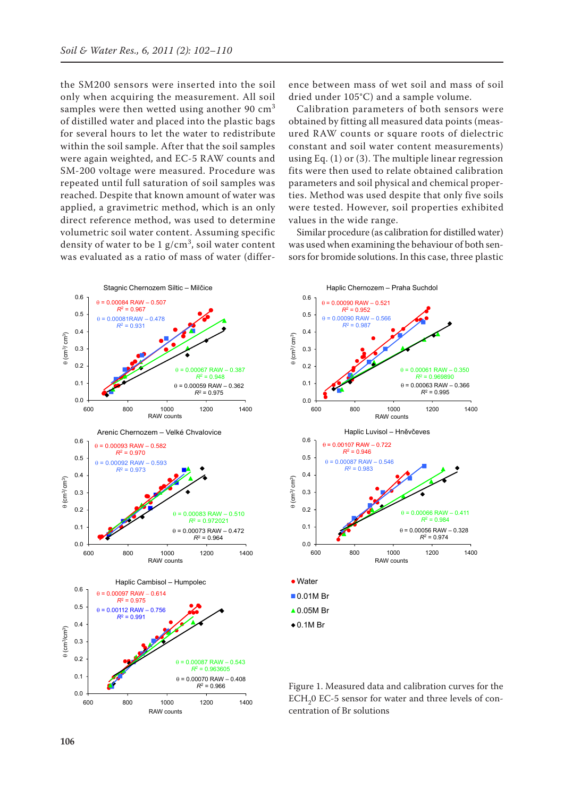the SM200 sensors were inserted into the soil only when acquiring the measurement. All soil samples were then wetted using another 90  $\text{cm}^3$ of distilled water and placed into the plastic bags for several hours to let the water to redistribute within the soil sample. After that the soil samples were again weighted, and EC-5 RAW counts and SM-200 voltage were measured. Procedure was repeated until full saturation of soil samples was reached. Despite that known amount of water was applied, a gravimetric method, which is an only direct reference method, was used to determine volumetric soil water content. Assuming specific density of water to be  $1 \text{ g/cm}^3$ , soil water content was evaluated as a ratio of mass of water (difference between mass of wet soil and mass of soil dried under 105°C) and a sample volume.

Calibration parameters of both sensors were obtained by fitting all measured data points (measured RAW counts or square roots of dielectric constant and soil water content measurements) using Eq. (1) or (3). The multiple linear regression fits were then used to relate obtained calibration parameters and soil physical and chemical properties. Method was used despite that only five soils were tested. However, soil properties exhibited values in the wide range.

Similar procedure (as calibration for distilled water) was used when examining the behaviour of both sensors for bromide solutions. In this case, three plastic





Figure 1. Measured data and calibration curves for the ECH<sub>2</sub>0 EC-5 sensor for water and three levels of concentration of Br solutions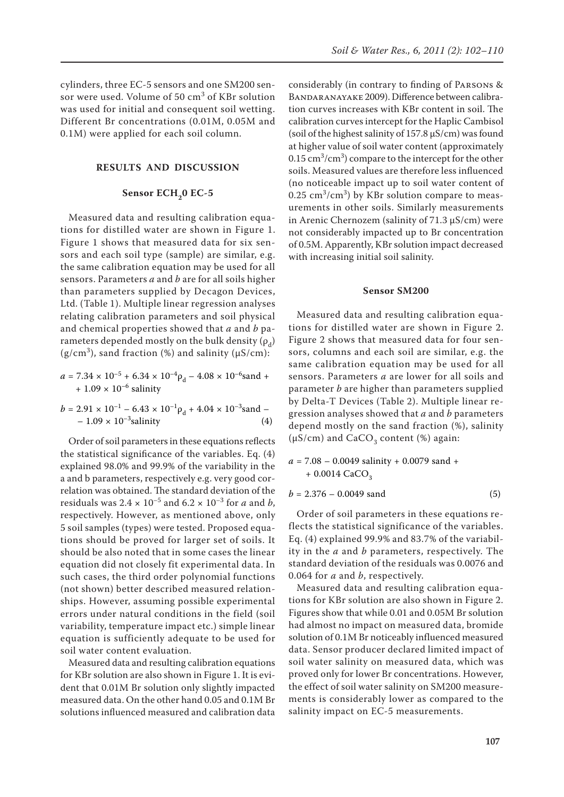cylinders, three EC-5 sensors and one SM200 sensor were used. Volume of 50 cm<sup>3</sup> of KBr solution was used for initial and consequent soil wetting. Different Br concentrations (0.01M, 0.05M and 0.1M) were applied for each soil column.

# **RESULTS AND DISCUSSION**

# Sensor ECH<sub>2</sub>0 EC-5

Measured data and resulting calibration equations for distilled water are shown in Figure 1. Figure 1 shows that measured data for six sensors and each soil type (sample) are similar, e.g. the same calibration equation may be used for all sensors. Parameters *a* and *b* are for all soils higher than parameters supplied by Decagon Devices, Ltd. (Table 1). Multiple linear regression analyses relating calibration parameters and soil physical and chemical properties showed that *a* and *b* parameters depended mostly on the bulk density  $(\rho_A)$  $(g/cm<sup>3</sup>)$ , sand fraction (%) and salinity ( $\mu$ S/cm):

 $a = 7.34 \times 10^{-5} + 6.34 \times 10^{-4} \rho_d - 4.08 \times 10^{-6}$ sand +  $+ 1.09 \times 10^{-6}$  salinity

$$
b = 2.91 \times 10^{-1} - 6.43 \times 10^{-1} \rho_d + 4.04 \times 10^{-3} \text{sand} - 1.09 \times 10^{-3} \text{salinity}
$$
 (4)

Order of soil parameters in these equations reflects the statistical significance of the variables. Eq. (4) explained 98.0% and 99.9% of the variability in the a and b parameters, respectively e.g. very good correlation was obtained. The standard deviation of the residuals was  $2.4 \times 10^{-5}$  and  $6.2 \times 10^{-3}$  for *a* and *b*, respectively. However, as mentioned above, only 5 soil samples (types) were tested. Proposed equations should be proved for larger set of soils. It should be also noted that in some cases the linear equation did not closely fit experimental data. In such cases, the third order polynomial functions (not shown) better described measured relationships. However, assuming possible experimental errors under natural conditions in the field (soil variability, temperature impact etc.) simple linear equation is sufficiently adequate to be used for soil water content evaluation.

Measured data and resulting calibration equations for KBr solution are also shown in Figure 1. It is evident that 0.01M Br solution only slightly impacted measured data. On the other hand 0.05 and 0.1M Br solutions influenced measured and calibration data

considerably (in contrary to finding of Parsons & BANDARANAYAKE 2009). Difference between calibration curves increases with KBr content in soil. The calibration curves intercept for the Haplic Cambisol (soil of the highest salinity of 157.8 µS/cm) was found at higher value of soil water content (approximately  $0.15 \text{ cm}^3/\text{cm}^3$ ) compare to the intercept for the other soils. Measured values are therefore less influenced (no noticeable impact up to soil water content of  $0.25 \text{ cm}^3/\text{cm}^3$ ) by KBr solution compare to measurements in other soils. Similarly measurements in Arenic Chernozem (salinity of 71.3 µS/cm) were not considerably impacted up to Br concentration of 0.5M. Apparently, KBr solution impact decreased with increasing initial soil salinity.

#### **Sensor SM200**

Measured data and resulting calibration equations for distilled water are shown in Figure 2. Figure 2 shows that measured data for four sensors, columns and each soil are similar, e.g. the same calibration equation may be used for all sensors. Parameters *a* are lower for all soils and parameter *b* are higher than parameters supplied by Delta-T Devices (Table 2). Multiple linear regression analyses showed that *a* and *b* parameters depend mostly on the sand fraction (%), salinity ( $\mu$ S/cm) and CaCO<sub>3</sub> content (%) again:

$$
a = 7.08 - 0.0049 \text{ salinity} + 0.0079 \text{ sand} ++ 0.0014 \text{ CaCO}_3
$$

$$
b = 2.376 - 0.0049 \text{ sand} \tag{5}
$$

Order of soil parameters in these equations reflects the statistical significance of the variables. Eq. (4) explained 99.9% and 83.7% of the variability in the *a* and *b* parameters, respectively. The standard deviation of the residuals was 0.0076 and 0.064 for *a* and *b*, respectively.

Measured data and resulting calibration equations for KBr solution are also shown in Figure 2. Figures show that while 0.01 and 0.05M Br solution had almost no impact on measured data, bromide solution of 0.1M Br noticeably influenced measured data. Sensor producer declared limited impact of soil water salinity on measured data, which was proved only for lower Br concentrations. However, the effect of soil water salinity on SM200 measurements is considerably lower as compared to the salinity impact on EC-5 measurements.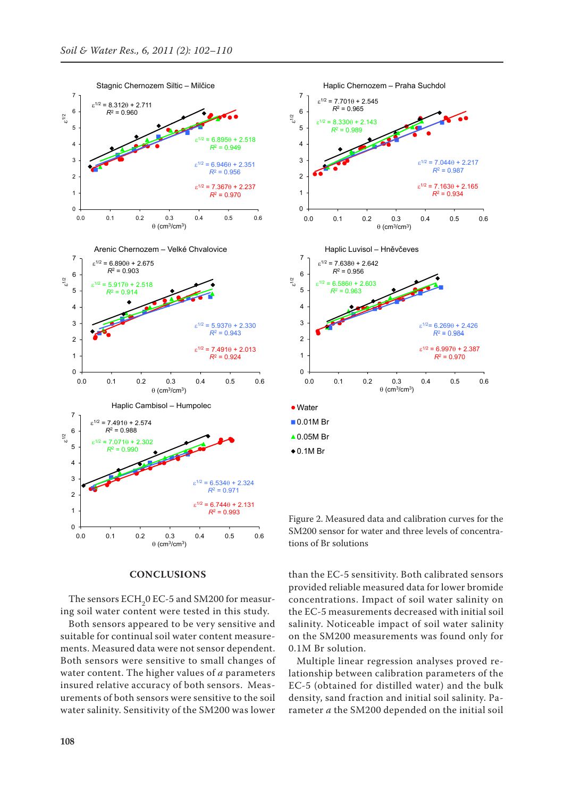

# **CONCLUSIONS**

The sensors ECH<sub>2</sub>0 EC-5 and SM200 for measuring soil water content were tested in this study.

Both sensors appeared to be very sensitive and suitable for continual soil water content measurements. Measured data were not sensor dependent. Both sensors were sensitive to small changes of water content. The higher values of *a* parameters insured relative accuracy of both sensors. Measurements of both sensors were sensitive to the soil water salinity. Sensitivity of the SM200 was lower



Figure 2. Measured data and calibration curves for the SM200 sensor for water and three levels of concentrations of Br solutions

than the EC-5 sensitivity. Both calibrated sensors provided reliable measured data for lower bromide concentrations. Impact of soil water salinity on the EC-5 measurements decreased with initial soil salinity. Noticeable impact of soil water salinity on the SM200 measurements was found only for 0.1M Br solution.

Multiple linear regression analyses proved relationship between calibration parameters of the EC-5 (obtained for distilled water) and the bulk density, sand fraction and initial soil salinity. Parameter *a* the SM200 depended on the initial soil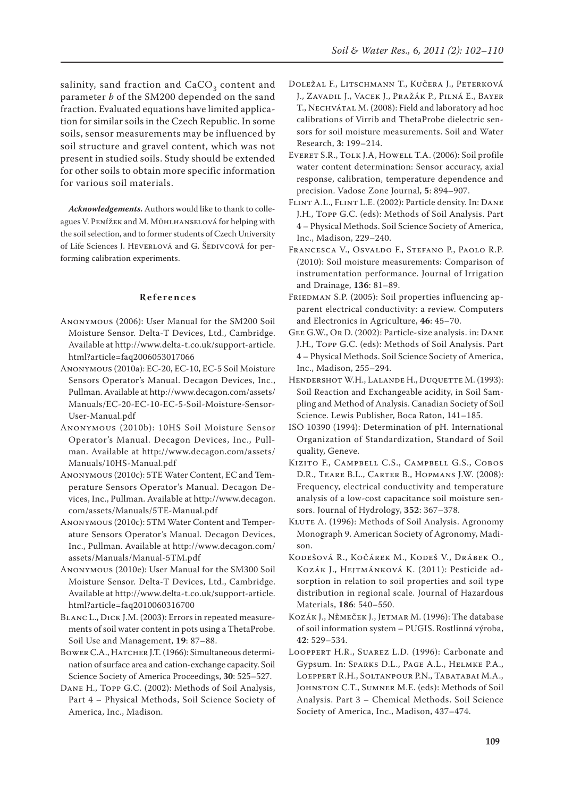salinity, sand fraction and  $CaCO<sub>3</sub>$  content and parameter *b* of the SM200 depended on the sand fraction. Evaluated equations have limited application for similar soils in the Czech Republic. In some soils, sensor measurements may be influenced by soil structure and gravel content, which was not present in studied soils. Study should be extended for other soils to obtain more specific information for various soil materials.

*Acknowledgements.* Authors would like to thank to colleagues V. Penížek and M. Mühlhanselová for helping with the soil selection, and to former students of Czech University of Life Sciences J. HEVERLOVÁ and G. ŠEDIVCOVÁ for performing calibration experiments.

## **References**

- Anonymous (2006): User Manual for the SM200 Soil Moisture Sensor. Delta-T Devices, Ltd., Cambridge. Available at http://www.delta-t.co.uk/support-article. html?article=faq2006053017066
- Anonymous (2010a): EC-20, EC-10, EC-5 Soil Moisture Sensors Operator's Manual. Decagon Devices, Inc., Pullman. Available at http://www.decagon.com/assets/ Manuals/EC-20-EC-10-EC-5-Soil-Moisture-Sensor-User-Manual.pdf
- Anonymous (2010b): 10HS Soil Moisture Sensor Operator's Manual. Decagon Devices, Inc., Pullman. Available at http://www.decagon.com/assets/ Manuals/10HS-Manual.pdf
- Anonymous (2010c): 5TE Water Content, EC and Temperature Sensors Operator's Manual. Decagon Devices, Inc., Pullman. Available at http://www.decagon. com/assets/Manuals/5TE-Manual.pdf
- Anonymous (2010c): 5TM Water Content and Temperature Sensors Operator's Manual. Decagon Devices, Inc., Pullman. Available at http://www.decagon.com/ assets/Manuals/Manual-5TM.pdf
- Anonymous (2010e): User Manual for the SM300 Soil Moisture Sensor. Delta-T Devices, Ltd., Cambridge. Available at http://www.delta-t.co.uk/support-article. html?article=faq2010060316700
- Blanc L., Dick J.M. (2003): Errors in repeated measurements of soil water content in pots using a ThetaProbe. Soil Use and Management, **19**: 87–88.
- BOWER C.A., HATCHER J.T. (1966): Simultaneous determination of surface area and cation-exchange capacity. Soil Science Society of America Proceedings, **30**: 525–527.
- Dane H., Topp G.C. (2002): Methods of Soil Analysis, Part 4 – Physical Methods, Soil Science Society of America, Inc., Madison.
- Doležal F., Litschmann T., Kučera J., Peterková J., Zavadil J., Vacek J., Pražák P., Pilná E., Bayer T., NECHVÁTAL M. (2008): Field and laboratory ad hoc calibrations of Virrib and ThetaProbe dielectric sensors for soil moisture measurements. Soil and Water Research, **3**: 199–214.
- EVERET S.R., TOLK J.A, HOWELL T.A. (2006): Soil profile water content determination: Sensor accuracy, axial response, calibration, temperature dependence and precision. Vadose Zone Journal, **5**: 894–907.
- Flint A.L., Flint L.E. (2002): Particle density. In: Dane J.H., Topp G.C. (eds): Methods of Soil Analysis. Part 4 – Physical Methods. Soil Science Society of America, Inc., Madison, 229–240.
- Francesca V., Osvaldo F., Stefano P., Paolo R.P. (2010): Soil moisture measurements: Comparison of instrumentation performance. Journal of Irrigation and Drainage, **136**: 81–89.
- FRIEDMAN S.P. (2005): Soil properties influencing apparent electrical conductivity: a review. Computers and Electronics in Agriculture, **46**: 45–70.
- Gee G.W., Or D. (2002): Particle-size analysis. in: Dane J.H., Topp G.C. (eds): Methods of Soil Analysis. Part 4 – Physical Methods. Soil Science Society of America, Inc., Madison, 255–294.
- HENDERSHOT W.H., LALANDE H., DUQUETTE M. (1993): Soil Reaction and Exchangeable acidity, in Soil Sampling and Method of Analysis. Canadian Society of Soil Science. Lewis Publisher, Boca Raton, 141–185.
- ISO 10390 (1994): Determination of pH. International Organization of Standardization, Standard of Soil quality, Geneve.
- Kizito F., Campbell C.S., Campbell G.S., Cobos D.R., Teare B.L., Carter B., Hopmans J.W. (2008): Frequency, electrical conductivity and temperature analysis of a low-cost capacitance soil moisture sensors. Journal of Hydrology, **352**: 367–378.
- KLUTE A. (1996): Methods of Soil Analysis. Agronomy Monograph 9. American Society of Agronomy, Madison.
- Kodešová R., Kočárek M., Kodeš V., Drábek O., Kozák J., Hejtmánková K. (2011): Pesticide adsorption in relation to soil properties and soil type distribution in regional scale. Journal of Hazardous Materials, **186**: 540–550.
- Kozák J., Němeček J., Jetmar M. (1996): The database of soil information system – PUGIS. Rostlinná výroba, **42**: 529–534.
- Looppert H.R., Suarez L.D. (1996): Carbonate and Gypsum. In: Sparks D.L., Page A.L., Helmke P.A., Loeppert R.H., Soltanpour P.N., Tabatabai M.A., Johnston C.T., Sumner M.E. (eds): Methods of Soil Analysis. Part 3 – Chemical Methods. Soil Science Society of America, Inc., Madison, 437–474.